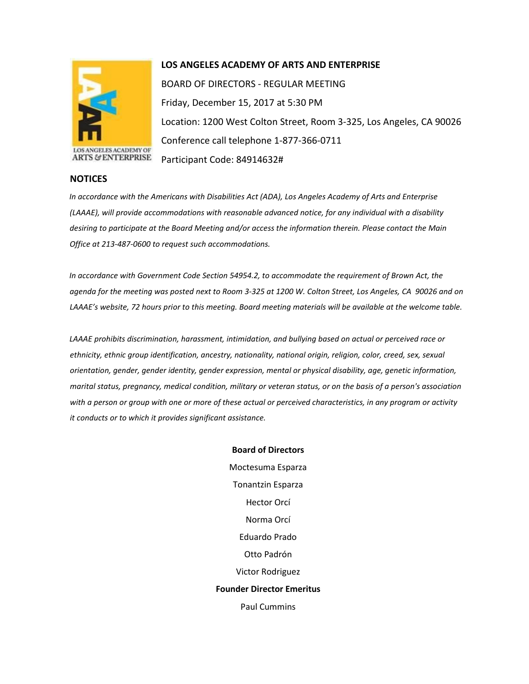

## **LOS ANGELES ACADEMY OF ARTS AND ENTERPRISE**

BOARD OF DIRECTORS - REGULAR MEETING Friday, December 15, 2017 at 5:30 PM Location: 1200 West Colton Street, Room 3-325, Los Angeles, CA 90026 Conference call telephone 1-877-366-0711 Participant Code: 84914632#

## **NOTICES**

*In accordance with the Americans with Disabilities Act (ADA), Los Angeles Academy of Arts and Enterprise (LAAAE), will provide accommodations with reasonable advanced notice, for any individual with a disability desiring to participate at the Board Meeting and/or access the information therein. Please contact the Main Office at 213-487-0600 to request such accommodations.* 

*In accordance with Government Code Section 54954.2, to accommodate the requirement of Brown Act, the agenda for the meeting was posted next to Room 3-325 at 1200 W. Colton Street, Los Angeles, CA 90026 and on LAAAE's website, 72 hours prior to this meeting. Board meeting materials will be available at the welcome table.* 

*LAAAE prohibits discrimination, harassment, intimidation, and bullying based on actual or perceived race or ethnicity, ethnic group identification, ancestry, nationality, national origin, religion, color, creed, sex, sexual orientation, gender, gender identity, gender expression, mental or physical disability, age, genetic information, marital status, pregnancy, medical condition, military or veteran status, or on the basis of a person's association with a person or group with one or more of these actual or perceived characteristics, in any program or activity it conducts or to which it provides significant assistance.* 

> **Board of Directors** Moctesuma Esparza Tonantzin Esparza Hector Orcí Norma Orcí Eduardo Prado Otto Padrón Victor Rodriguez **Founder Director Emeritus** Paul Cummins